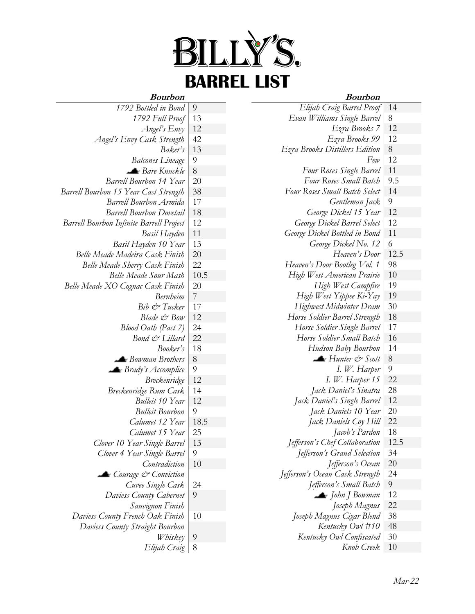

## **Bourbon**

#### **Bourbon**

| DUULDUIL                                        |                | Douloon                                       |                |
|-------------------------------------------------|----------------|-----------------------------------------------|----------------|
| 1792 Bottled in Bond                            | $\overline{9}$ | Elijah Craig Barrel Proof                     | 14             |
| 1792 Full Proof                                 | 13             | Evan Williams Single Barrel                   | $\,8\,$        |
| Angel's Envy                                    | 12             | Ezra Brooks 7                                 | 12             |
| Angel's Envy Cask Strength                      | 42             | Ezra Brooks 99                                | 12             |
| Baker's                                         | 13             | Ezra Brooks Distillers Edition                | $8\,$          |
| <b>Balcones Lineage</b>                         | $\overline{9}$ | Few                                           | 12             |
| Bare Knuckle                                    | 8              | Four Roses Single Barrel                      | 11             |
| <b>Barrell Bourbon 14 Year</b>                  | 20             | Four Roses Small Batch                        | 9.5            |
| Barrell Bourbon 15 Year Cast Strength           | 38             | Four Roses Small Batch Select                 | 14             |
| <b>Barrell Bourbon Armida</b>                   | 17             | Gentleman Jack                                | $\overline{9}$ |
| <b>Barrell Bourbon Dovetail</b>                 | 18             | George Dickel 15 Year                         | 12             |
| <b>Barrell Bourbon Infinite Barrell Project</b> | 12             | George Dickel Barrel Select                   | 12             |
| Basil Hayden                                    | 11             | George Dickel Bottled in Bond                 | 11             |
| Basil Hayden 10 Year                            | 13             | George Dickel No. 12                          | $\sqrt{6}$     |
| Belle Meade Madeira Cask Finish                 | $20\,$         | Heaven's Door                                 | 12.5           |
| Belle Meade Sherry Cask Finish                  | 22             | Heaven's Door Bootleg Vol. 1                  | 98             |
| <b>Belle Meade Sour Mash</b>                    | 10.5           | High West American Prairie                    | 10             |
| Belle Meade XO Cognac Cask Finish               | 20             | High West Campfire                            | 19             |
| <b>Bernheim</b>                                 | $\overline{7}$ | High West Yippee Ki-Yay                       | 19             |
| Bib & Tucker                                    | 17             | Highwest Midwinter Dram                       | 30             |
| Blade & Bow                                     | 12             | Horse Soldier Barrel Strength                 | 18             |
| Blood Oath (Pact 7)                             | 24             | Horse Soldier Single Barrel                   | 17             |
| Bond & Lillard                                  | 22             | Horse Soldier Small Batch                     | 16             |
| Booker's                                        | 18             | Hudson Baby Bourbon                           | 14             |
| Bowman Brothers                                 | $8\,$          | $\blacktriangle$ Hunter $\mathcal{C}^*$ Scott | $\,8\,$        |
| $\blacktriangle$ Brady's Accomplice             | $\overline{9}$ | I. W. Harper                                  | 9              |
| <b>Breckenridge</b>                             | 12             | I. W. Harper 15                               | 22             |
| Breckenridge Rum Cask                           | 14             | Jack Daniel's Sinatra                         | 28             |
| Bulleit 10 Year                                 | 12             | Jack Daniel's Single Barrel                   | 12             |
| <b>Bulleit Bourbon</b>                          | 9              | Jack Daniels 10 Year                          | 20             |
| Calumet 12 Year                                 | 18.5           | Jack Daniels Coy Hill                         | 22             |
| Calumet 15 Year                                 | 25             | Jacob's Pardon                                | 18             |
| Clover 10 Year Single Barrel                    | 13             | Jefferson's Chef Collaboration                | 12.5           |
| Clover 4 Year Single Barrel                     | 9              | Jefferson's Grand Selection                   | 34             |
| Contradiction                                   | 10             | Jefferson's Ocean                             | 20             |
| Courage & Conviction                            |                | Jefferson's Ocean Cask Strength               | 24             |
| Cuvee Single Cask                               | 24             | Jefferson's Small Batch                       | 9              |
| Daviess County Cabernet                         | 9              | $\blacktriangle$ John J Bowman                | 12             |
| Sauvignon Finish                                |                | Joseph Magnus                                 | 22             |
| Daviess County French Oak Finish                | 10             | Joseph Magnus Cigar Blend                     | 38             |
| Daviess County Straight Bourbon                 |                | Kentucky Owl #10                              | 48             |
| <i>Whiskey</i>                                  | $\overline{9}$ | Kentucky Owl Confiscated                      | 30             |
| Elijah Craig                                    | 8              | Knob Creek                                    | 10             |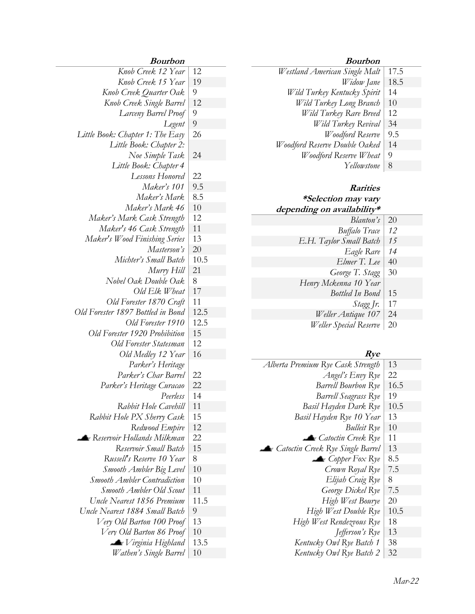#### **Bourbon**

- *Westland American Single Malt* 17.5 *Widow Jane* | 18.5 *Wild Turkey Kentucky Spirit* 14 *Wild Turkey Long Branch* | 10 *Wild Turkey Rare Breed* | 12 *Wild Turkey Revival* | 34
	- *Woodford Reserve* | 9.5
- *Woodford Reserve Double Oaked* | 14
	- *Woodford Reserve Wheat* | 9
		- *Yellowstone* 8

#### **Rarities \*Selection may vary depending on availability\***

| Blanton's               | <b>20</b> |
|-------------------------|-----------|
| <b>Buffalo Trace</b>    | 12        |
| E.H. Taylor Small Batch | 15        |
| Eagle Rare              | 14        |
| Elmer T. Lee            | 40        |
| George T. Stagg         | 30        |
| Henry Mckenna 10 Year   |           |
| <b>Bottled In Bond</b>  | 15        |
| Stagg Jr.               | 17        |
| Weller Antique 107      | 24        |
| Weller Special Reserve  | 20        |

#### **Rye**

| Alberta Premium Rye Cask Strength | 13   |
|-----------------------------------|------|
| Angel's Envy Rye                  | 22   |
| <b>Barrell Bourbon Rye</b>        | 16.5 |
| <b>Barrell Seagrass Rye</b>       | 19   |
| Basil Hayden Dark Rye             | 10.5 |
| Basil Hayden Rye 10 Year          | 13   |
| <i>Bulleit</i> Rye                | 10   |
| Catoctin Creek Rye                | 11   |
| Catoctin Creek Rye Single Barrel  | 13   |
| $\blacktriangle$ Copper Fox Rye   | 8.5  |
| Crown Royal Rye                   | 7.5  |
| Elijah Craig Rye                  | 8    |
| George Dickel Rye                 | 7.5  |
| High West Bourye                  | 20   |
| High West Double Rye              | 10.5 |
| High West Rendezvous Rye          | 18   |
| Jefferson's Rye                   | 13   |
| Kentucky Owl Rye Batch 1          | 38   |
| Kentucky Owl Rye Batch 2          | 32   |
|                                   |      |

### **Bourbon**

| Knob Creek 12 Year                  | 12   |
|-------------------------------------|------|
| Knob Creek 15 Year                  | 19   |
| Knob Creek Quarter Oak              | 9    |
| Knob Creek Single Barrel            | 12   |
| Larceny Barrel Proof                | 9    |
| Legent                              | 9    |
| Little Book: Chapter 1: The Easy    | 26   |
| Little Book: Chapter 2:             |      |
| Noe Simple Task                     | 24   |
| Little Book: Chapter 4              |      |
| Lessons Honored                     | 22   |
| Maker's 101                         | 9.5  |
| Maker's Mark                        | 8.5  |
| Maker's Mark 46                     | 10   |
| Maker's Mark Cask Strength          | 12   |
| Maker's 46 Cask Strength            | 11   |
| Maker's Wood Finishing Series       | 13   |
| Masterson's                         | 20   |
| Michter's Small Batch               | 10.5 |
| Murry Hill                          | 21   |
| Nobel Oak Double Oak                | 8    |
| Old Elk Wheat                       | 17   |
| Old Forester 1870 Craft             | 11   |
| Old Forester 1897 Bottled in Bond   | 12.5 |
| Old Forester 1910                   | 12.5 |
| Old Forester 1920 Prohibition       | 15   |
| Old Forester Statesman              | 12   |
| Old Medley 12 Year                  | 16   |
| Parker's Heritage                   |      |
| Parker's Char Barrel                | 22   |
| Parker's Heritage Curacao           | 22   |
| Peerless                            | 14   |
| Rabbit Hole Cavehill                | 11   |
| Rabbit Hole PX Sherry Cask          | 15   |
| Redwood Empire                      | 12   |
| <b>• Reservoir Hollands Milkman</b> | 22   |
| Reservoir Small Batch               | 15   |
| Russell's Reserve 10 Year           | 8    |
| Smooth Ambler Big Level             | 10   |
| <b>Smooth Ambler Contradiction</b>  | 10   |
| Smooth Ambler Old Scout             | 11   |
| Uncle Nearest 1856 Premium          | 11.5 |
| Uncle Nearest 1884 Small Batch      | 9    |
| Very Old Barton 100 Proof           | 13   |
| Very Old Barton 86 Proof            | 10   |
| $\blacktriangle$ Virginia Highland  | 13.5 |
| Wathen's Single Barrel              | 10   |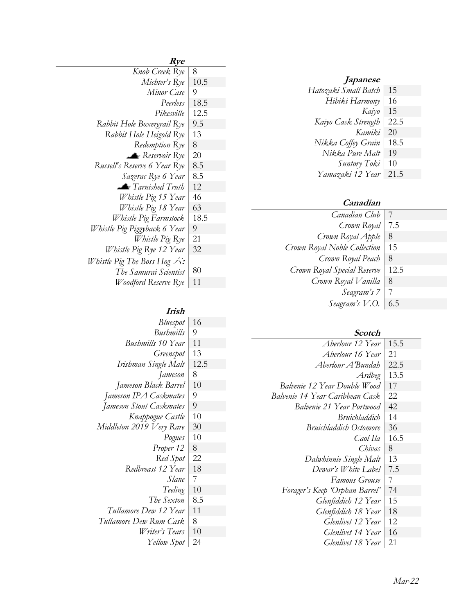| <i>Japanese</i>      |      |
|----------------------|------|
| Hatozaki Small Batch | 15   |
| Hibiki Harmony       | 16   |
| Kaiyo                | 15   |
| Kaiyo Cask Strength  | 22.5 |
| Kamiki               | 20   |
| Nikka Coffey Grain   | 18.5 |
| Nikka Pure Malt      | 19   |
| Suntory Toki         | 10   |
| Yamazaki 12 Year     | 21.5 |
|                      |      |

## **Canadian**

| Canadian Club                |      |
|------------------------------|------|
| Crown Royal                  | 7.5  |
| Crown Royal Apple            | 8    |
| Crown Royal Noble Collection | 15   |
| Crown Royal Peach            | 8    |
| Crown Royal Special Reserve  | 12.5 |
| Crown Royal Vanilla          | 8    |
| Seagram's 7                  |      |
| Seagram's V.O.               | 6.5  |

## **Scotch**

| Aberlour 12 Year                 | 15.5 |
|----------------------------------|------|
| Aberlour 16 Year                 | 21   |
| Aberlour A'Bundah                | 22.5 |
| Ardbeg                           | 13.5 |
| Balvenie 12 Year Double Wood     | 17   |
| Balvenie 14 Year Caribbean Cask  | 22   |
| <b>Balvenie 21 Year Portwood</b> | 42   |
| Bruichladdich                    | 14   |
| <b>Bruichladdich Octomore</b>    | 36   |
| Caol Ila                         | 16.5 |
| Chivas                           | 8    |
| Dalwhinnie Single Malt           | 13   |
| Dewar's White Label              | 7.5  |
| Famous Grouse                    | 7    |
| Forager's Keep 'Orphan Barrel'   | 74   |
| Glenfiddich 12 Year              | 15   |
| Glenfiddich 18 Year              | 18   |
| Glenlivet 12 Year                | 12   |
| Glenlivet 14 Year                | 16   |
| Glenlivet 18 Year                | 21   |

# **Rye**

| Knob Creek Rye                   | 8    |
|----------------------------------|------|
| Michter's Rye                    | 10.5 |
| Minor Case                       | 9    |
| Peerless                         | 18.5 |
| Pikesville                       | 12.5 |
| Rabbit Hole Boxergrail Rye       | 9.5  |
| Rabbit Hole Heigold Rye          | 13   |
| Redemption Rye                   | 8    |
| Reservoir Rye                    | 20   |
| Russell's Reserve 6 Year Rye     | 8.5  |
| Sazerac Rye 6 Year               | 8.5  |
| Tarnished Truth                  | 12   |
| Whistle Pig 15 Year              | 46   |
| Whistle Pig 18 Year              | 63   |
| Whistle Pig Farmstock            | 18.5 |
| Whistle Pig Piggyback 6 Year     | 9    |
| Whistle Pig Rye                  | 21   |
| Whistle Pig Rye 12 Year          | 32   |
| Whistle Pig The Boss Hog $\pi$ : |      |
| The Samurai Scientist            | 80   |
| Woodford Reserve Rye             | 11   |

## **Irish**

| <i>Bluespot</i>          | 16   |
|--------------------------|------|
| Bushmills                | 9    |
| <b>Bushmills</b> 10 Year | 11   |
| Greenspot                | 13   |
| Irishman Single Malt     | 12.5 |
| Jameson                  | 8    |
| Jameson Black Barrel     | 10   |
| Jameson IPA Caskmates    | 9    |
| Jameson Stout Caskmates  | 9    |
| Knappogue Castle         | 10   |
| Middleton 2019 Very Rare | 30   |
| Pogues                   | 10   |
| Proper 12                | 8    |
| Red Spot                 | 22   |
| Redbreast 12 Year        | 18   |
| Slane                    | 7    |
| Teeling                  | 10   |
| The Sexton               | 8.5  |
| Tullamore Dew 12 Year    | 11   |
| Tullamore Dew Rum Cask   | 8    |
| Writer's Tears           | 10   |
| Yellow Spot              | 24   |
|                          |      |